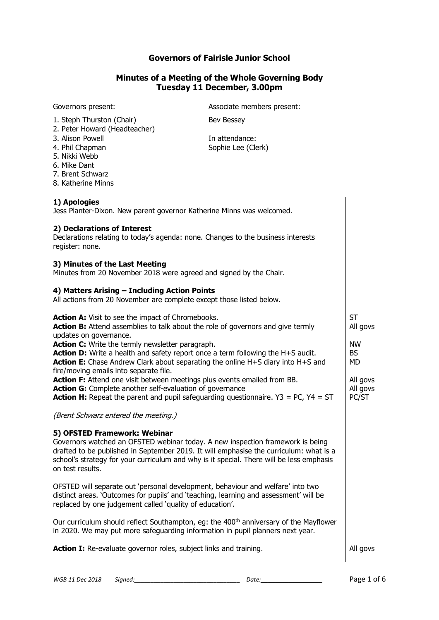# **Governors of Fairisle Junior School**

## **Minutes of a Meeting of the Whole Governing Body Tuesday 11 December, 3.00pm**

| Governors present:                                                                                                                                                                                                                                                                                                       | Associate members present:           |                               |
|--------------------------------------------------------------------------------------------------------------------------------------------------------------------------------------------------------------------------------------------------------------------------------------------------------------------------|--------------------------------------|-------------------------------|
| 1. Steph Thurston (Chair)<br>2. Peter Howard (Headteacher)                                                                                                                                                                                                                                                               | Bev Bessey                           |                               |
| 3. Alison Powell<br>4. Phil Chapman<br>5. Nikki Webb<br>6. Mike Dant<br>7. Brent Schwarz<br>8. Katherine Minns                                                                                                                                                                                                           | In attendance:<br>Sophie Lee (Clerk) |                               |
| 1) Apologies<br>Jess Planter-Dixon. New parent governor Katherine Minns was welcomed.                                                                                                                                                                                                                                    |                                      |                               |
| 2) Declarations of Interest<br>Declarations relating to today's agenda: none. Changes to the business interests<br>register: none.                                                                                                                                                                                       |                                      |                               |
| 3) Minutes of the Last Meeting<br>Minutes from 20 November 2018 were agreed and signed by the Chair.                                                                                                                                                                                                                     |                                      |                               |
| 4) Matters Arising - Including Action Points<br>All actions from 20 November are complete except those listed below.                                                                                                                                                                                                     |                                      |                               |
| <b>Action A:</b> Visit to see the impact of Chromebooks.<br>Action B: Attend assemblies to talk about the role of governors and give termly<br>updates on governance.                                                                                                                                                    |                                      | <b>ST</b><br>All govs         |
| Action C: Write the termly newsletter paragraph.<br>Action D: Write a health and safety report once a term following the H+S audit.<br>Action E: Chase Andrew Clark about separating the online H+S diary into H+S and<br>fire/moving emails into separate file.                                                         |                                      | NW<br><b>BS</b><br>MD         |
| Action F: Attend one visit between meetings plus events emailed from BB.<br>Action G: Complete another self-evaluation of governance<br><b>Action H:</b> Repeat the parent and pupil safeguarding questionnaire. $Y3 = PC$ , $Y4 = ST$                                                                                   |                                      | All govs<br>All govs<br>PC/ST |
| (Brent Schwarz entered the meeting.)                                                                                                                                                                                                                                                                                     |                                      |                               |
| 5) OFSTED Framework: Webinar<br>Governors watched an OFSTED webinar today. A new inspection framework is being<br>drafted to be published in September 2019. It will emphasise the curriculum: what is a<br>school's strategy for your curriculum and why is it special. There will be less emphasis<br>on test results. |                                      |                               |
| OFSTED will separate out 'personal development, behaviour and welfare' into two<br>distinct areas. 'Outcomes for pupils' and 'teaching, learning and assessment' will be<br>replaced by one judgement called 'quality of education'.                                                                                     |                                      |                               |
| Our curriculum should reflect Southampton, eg: the 400 <sup>th</sup> anniversary of the Mayflower<br>in 2020. We may put more safeguarding information in pupil planners next year.                                                                                                                                      |                                      |                               |
| Action I: Re-evaluate governor roles, subject links and training.                                                                                                                                                                                                                                                        |                                      |                               |
|                                                                                                                                                                                                                                                                                                                          |                                      |                               |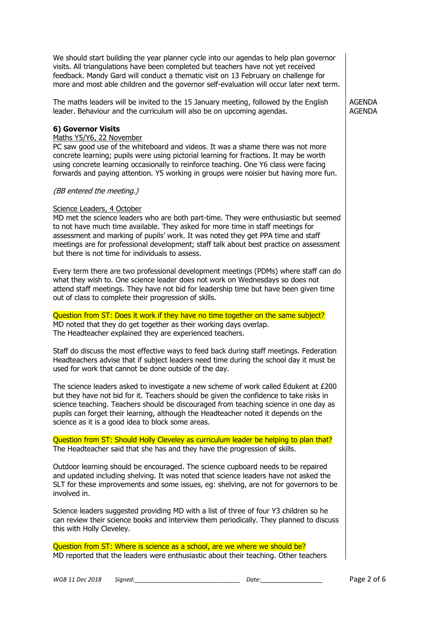| We should start building the year planner cycle into our agendas to help plan governor<br>visits. All triangulations have been completed but teachers have not yet received<br>feedback. Mandy Gard will conduct a thematic visit on 13 February on challenge for<br>more and most able children and the governor self-evaluation will occur later next term.                                                                                                                                                                                                                                                                                                             |                         |
|---------------------------------------------------------------------------------------------------------------------------------------------------------------------------------------------------------------------------------------------------------------------------------------------------------------------------------------------------------------------------------------------------------------------------------------------------------------------------------------------------------------------------------------------------------------------------------------------------------------------------------------------------------------------------|-------------------------|
| The maths leaders will be invited to the 15 January meeting, followed by the English<br>leader. Behaviour and the curriculum will also be on upcoming agendas.                                                                                                                                                                                                                                                                                                                                                                                                                                                                                                            | AGENDA<br><b>AGENDA</b> |
| 6) Governor Visits<br>Maths Y5/Y6, 22 November<br>PC saw good use of the whiteboard and videos. It was a shame there was not more<br>concrete learning; pupils were using pictorial learning for fractions. It may be worth<br>using concrete learning occasionally to reinforce teaching. One Y6 class were facing<br>forwards and paying attention. Y5 working in groups were noisier but having more fun.                                                                                                                                                                                                                                                              |                         |
| (BB entered the meeting.)                                                                                                                                                                                                                                                                                                                                                                                                                                                                                                                                                                                                                                                 |                         |
| Science Leaders, 4 October<br>MD met the science leaders who are both part-time. They were enthusiastic but seemed<br>to not have much time available. They asked for more time in staff meetings for<br>assessment and marking of pupils' work. It was noted they get PPA time and staff<br>meetings are for professional development; staff talk about best practice on assessment<br>but there is not time for individuals to assess.                                                                                                                                                                                                                                  |                         |
| Every term there are two professional development meetings (PDMs) where staff can do<br>what they wish to. One science leader does not work on Wednesdays so does not<br>attend staff meetings. They have not bid for leadership time but have been given time<br>out of class to complete their progression of skills.                                                                                                                                                                                                                                                                                                                                                   |                         |
| Question from ST: Does it work if they have no time together on the same subject?                                                                                                                                                                                                                                                                                                                                                                                                                                                                                                                                                                                         |                         |
|                                                                                                                                                                                                                                                                                                                                                                                                                                                                                                                                                                                                                                                                           |                         |
|                                                                                                                                                                                                                                                                                                                                                                                                                                                                                                                                                                                                                                                                           |                         |
| MD noted that they do get together as their working days overlap.<br>The Headteacher explained they are experienced teachers.<br>Staff do discuss the most effective ways to feed back during staff meetings. Federation<br>Headteachers advise that if subject leaders need time during the school day it must be<br>used for work that cannot be done outside of the day.                                                                                                                                                                                                                                                                                               |                         |
| The science leaders asked to investigate a new scheme of work called Edukent at £200<br>but they have not bid for it. Teachers should be given the confidence to take risks in<br>science teaching. Teachers should be discouraged from teaching science in one day as<br>pupils can forget their learning, although the Headteacher noted it depends on the<br>science as it is a good idea to block some areas.                                                                                                                                                                                                                                                         |                         |
|                                                                                                                                                                                                                                                                                                                                                                                                                                                                                                                                                                                                                                                                           |                         |
|                                                                                                                                                                                                                                                                                                                                                                                                                                                                                                                                                                                                                                                                           |                         |
| Question from ST: Should Holly Cleveley as curriculum leader be helping to plan that?<br>The Headteacher said that she has and they have the progression of skills.<br>Outdoor learning should be encouraged. The science cupboard needs to be repaired<br>and updated including shelving. It was noted that science leaders have not asked the<br>SLT for these improvements and some issues, eg: shelving, are not for governors to be<br>involved in.<br>Science leaders suggested providing MD with a list of three of four Y3 children so he<br>can review their science books and interview them periodically. They planned to discuss<br>this with Holly Cleveley. |                         |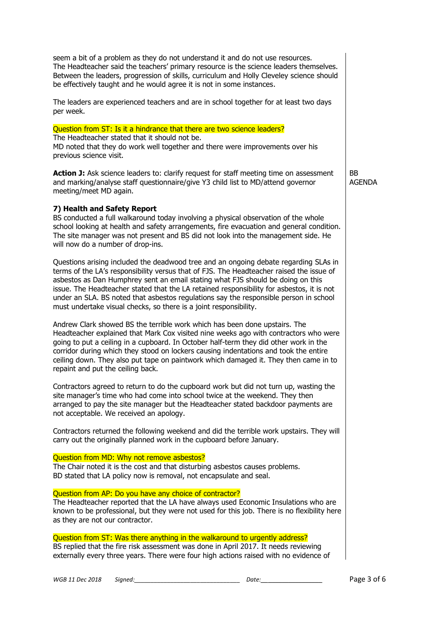| seem a bit of a problem as they do not understand it and do not use resources.<br>The Headteacher said the teachers' primary resource is the science leaders themselves.<br>Between the leaders, progression of skills, curriculum and Holly Cleveley science should<br>be effectively taught and he would agree it is not in some instances.                                                                                                                                                                                  |                     |
|--------------------------------------------------------------------------------------------------------------------------------------------------------------------------------------------------------------------------------------------------------------------------------------------------------------------------------------------------------------------------------------------------------------------------------------------------------------------------------------------------------------------------------|---------------------|
| The leaders are experienced teachers and are in school together for at least two days<br>per week.                                                                                                                                                                                                                                                                                                                                                                                                                             |                     |
| Question from ST: Is it a hindrance that there are two science leaders?<br>The Headteacher stated that it should not be.<br>MD noted that they do work well together and there were improvements over his<br>previous science visit.                                                                                                                                                                                                                                                                                           |                     |
| Action J: Ask science leaders to: clarify request for staff meeting time on assessment<br>and marking/analyse staff questionnaire/give Y3 child list to MD/attend governor<br>meeting/meet MD again.                                                                                                                                                                                                                                                                                                                           | BB<br><b>AGENDA</b> |
| 7) Health and Safety Report<br>BS conducted a full walkaround today involving a physical observation of the whole<br>school looking at health and safety arrangements, fire evacuation and general condition.<br>The site manager was not present and BS did not look into the management side. He<br>will now do a number of drop-ins.                                                                                                                                                                                        |                     |
| Questions arising included the deadwood tree and an ongoing debate regarding SLAs in<br>terms of the LA's responsibility versus that of FJS. The Headteacher raised the issue of<br>asbestos as Dan Humphrey sent an email stating what FJS should be doing on this<br>issue. The Headteacher stated that the LA retained responsibility for asbestos, it is not<br>under an SLA. BS noted that asbestos regulations say the responsible person in school<br>must undertake visual checks, so there is a joint responsibility. |                     |
| Andrew Clark showed BS the terrible work which has been done upstairs. The<br>Headteacher explained that Mark Cox visited nine weeks ago with contractors who were<br>going to put a ceiling in a cupboard. In October half-term they did other work in the<br>corridor during which they stood on lockers causing indentations and took the entire<br>ceiling down. They also put tape on paintwork which damaged it. They then came in to<br>repaint and put the ceiling back.                                               |                     |
| Contractors agreed to return to do the cupboard work but did not turn up, wasting the<br>site manager's time who had come into school twice at the weekend. They then<br>arranged to pay the site manager but the Headteacher stated backdoor payments are<br>not acceptable. We received an apology.                                                                                                                                                                                                                          |                     |
| Contractors returned the following weekend and did the terrible work upstairs. They will<br>carry out the originally planned work in the cupboard before January.                                                                                                                                                                                                                                                                                                                                                              |                     |
| Question from MD: Why not remove asbestos?<br>The Chair noted it is the cost and that disturbing asbestos causes problems.<br>BD stated that LA policy now is removal, not encapsulate and seal.                                                                                                                                                                                                                                                                                                                               |                     |
| Question from AP: Do you have any choice of contractor?<br>The Headteacher reported that the LA have always used Economic Insulations who are<br>known to be professional, but they were not used for this job. There is no flexibility here<br>as they are not our contractor.                                                                                                                                                                                                                                                |                     |
| Question from ST: Was there anything in the walkaround to urgently address?<br>BS replied that the fire risk assessment was done in April 2017. It needs reviewing<br>externally every three years. There were four high actions raised with no evidence of                                                                                                                                                                                                                                                                    |                     |

*WGB 11 Dec 2018 Signed:\_\_\_\_\_\_\_\_\_\_\_\_\_\_\_\_\_\_\_\_\_\_\_\_\_\_\_\_\_\_\_\_ Date:\_\_ \_\_\_\_\_\_\_\_\_\_\_\_\_\_\_\_* Page 3 of 6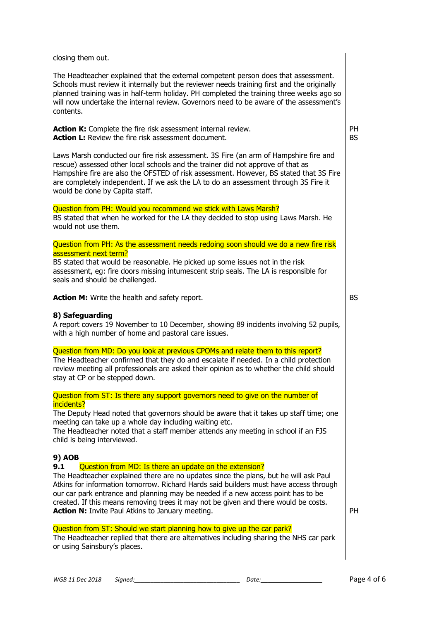closing them out.

The Headteacher explained that the external competent person does that assessment. Schools must review it internally but the reviewer needs training first and the originally planned training was in half-term holiday. PH completed the training three weeks ago so will now undertake the internal review. Governors need to be aware of the assessment's contents.

**Action K:** Complete the fire risk assessment internal review. **Action L:** Review the fire risk assessment document.

Laws Marsh conducted our fire risk assessment. 3S Fire (an arm of Hampshire fire and rescue) assessed other local schools and the trainer did not approve of that as Hampshire fire are also the OFSTED of risk assessment. However, BS stated that 3S Fire are completely independent. If we ask the LA to do an assessment through 3S Fire it would be done by Capita staff.

#### Question from PH: Would you recommend we stick with Laws Marsh?

BS stated that when he worked for the LA they decided to stop using Laws Marsh. He would not use them.

#### Question from PH: As the assessment needs redoing soon should we do a new fire risk assessment next term?

BS stated that would be reasonable. He picked up some issues not in the risk assessment, eg: fire doors missing intumescent strip seals. The LA is responsible for seals and should be challenged.

**Action M:** Write the health and safety report.

## **8) Safeguarding**

A report covers 19 November to 10 December, showing 89 incidents involving 52 pupils, with a high number of home and pastoral care issues.

## Question from MD: Do you look at previous CPOMs and relate them to this report?

The Headteacher confirmed that they do and escalate if needed. In a child protection review meeting all professionals are asked their opinion as to whether the child should stay at CP or be stepped down.

Question from ST: Is there any support governors need to give on the number of incidents?

The Deputy Head noted that governors should be aware that it takes up staff time; one meeting can take up a whole day including waiting etc.

The Headteacher noted that a staff member attends any meeting in school if an FJS child is being interviewed.

## **9) AOB**

#### **9.1** Question from MD: Is there an update on the extension?

The Headteacher explained there are no updates since the plans, but he will ask Paul Atkins for information tomorrow. Richard Hards said builders must have access through our car park entrance and planning may be needed if a new access point has to be created. If this means removing trees it may not be given and there would be costs. **Action N:** Invite Paul Atkins to January meeting.

# PH

PH BS

BS

## Question from ST: Should we start planning how to give up the car park?

The Headteacher replied that there are alternatives including sharing the NHS car park or using Sainsbury's places.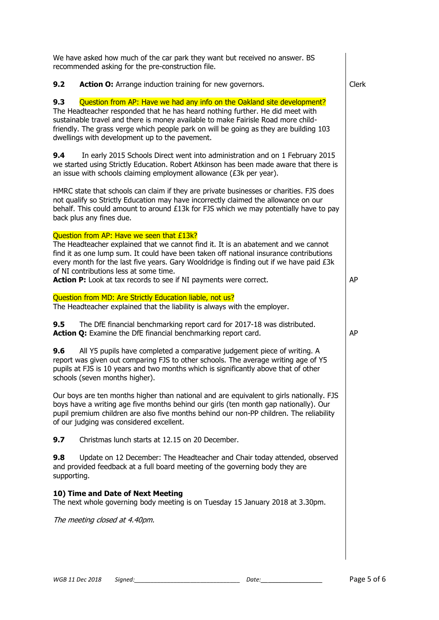| We have asked how much of the car park they want but received no answer. BS<br>recommended asking for the pre-construction file.                                                                                                                                                                                                                                                                                                    |              |  |  |  |
|-------------------------------------------------------------------------------------------------------------------------------------------------------------------------------------------------------------------------------------------------------------------------------------------------------------------------------------------------------------------------------------------------------------------------------------|--------------|--|--|--|
| 9.2<br>Action O: Arrange induction training for new governors.                                                                                                                                                                                                                                                                                                                                                                      | <b>Clerk</b> |  |  |  |
| 9.3<br>Question from AP: Have we had any info on the Oakland site development?<br>The Headteacher responded that he has heard nothing further. He did meet with<br>sustainable travel and there is money available to make Fairisle Road more child-<br>friendly. The grass verge which people park on will be going as they are building 103<br>dwellings with development up to the pavement.                                     |              |  |  |  |
| 9.4<br>In early 2015 Schools Direct went into administration and on 1 February 2015<br>we started using Strictly Education. Robert Atkinson has been made aware that there is<br>an issue with schools claiming employment allowance $(E3k)$ per year).                                                                                                                                                                             |              |  |  |  |
| HMRC state that schools can claim if they are private businesses or charities. FJS does<br>not qualify so Strictly Education may have incorrectly claimed the allowance on our<br>behalf. This could amount to around £13k for FJS which we may potentially have to pay<br>back plus any fines due.                                                                                                                                 |              |  |  |  |
| Question from AP: Have we seen that £13k?<br>The Headteacher explained that we cannot find it. It is an abatement and we cannot<br>find it as one lump sum. It could have been taken off national insurance contributions<br>every month for the last five years. Gary Wooldridge is finding out if we have paid £3k<br>of NI contributions less at some time.<br>Action P: Look at tax records to see if NI payments were correct. | AP           |  |  |  |
| Question from MD: Are Strictly Education liable, not us?                                                                                                                                                                                                                                                                                                                                                                            |              |  |  |  |
| The Headteacher explained that the liability is always with the employer.                                                                                                                                                                                                                                                                                                                                                           |              |  |  |  |
| 9.5<br>The DfE financial benchmarking report card for 2017-18 was distributed.<br>Action Q: Examine the DfE financial benchmarking report card.                                                                                                                                                                                                                                                                                     | AP           |  |  |  |
| 9.6<br>All Y5 pupils have completed a comparative judgement piece of writing. A<br>report was given out comparing FJS to other schools. The average writing age of Y5<br>pupils at FJS is 10 years and two months which is significantly above that of other<br>schools (seven months higher).                                                                                                                                      |              |  |  |  |
| Our boys are ten months higher than national and are equivalent to girls nationally. FJS<br>boys have a writing age five months behind our girls (ten month gap nationally). Our<br>pupil premium children are also five months behind our non-PP children. The reliability<br>of our judging was considered excellent.                                                                                                             |              |  |  |  |
| 9.7<br>Christmas lunch starts at 12.15 on 20 December.                                                                                                                                                                                                                                                                                                                                                                              |              |  |  |  |
| Update on 12 December: The Headteacher and Chair today attended, observed<br>9.8<br>and provided feedback at a full board meeting of the governing body they are<br>supporting.                                                                                                                                                                                                                                                     |              |  |  |  |
| 10) Time and Date of Next Meeting<br>The next whole governing body meeting is on Tuesday 15 January 2018 at 3.30pm.                                                                                                                                                                                                                                                                                                                 |              |  |  |  |
| The meeting closed at 4.40pm.                                                                                                                                                                                                                                                                                                                                                                                                       |              |  |  |  |
|                                                                                                                                                                                                                                                                                                                                                                                                                                     |              |  |  |  |
|                                                                                                                                                                                                                                                                                                                                                                                                                                     |              |  |  |  |